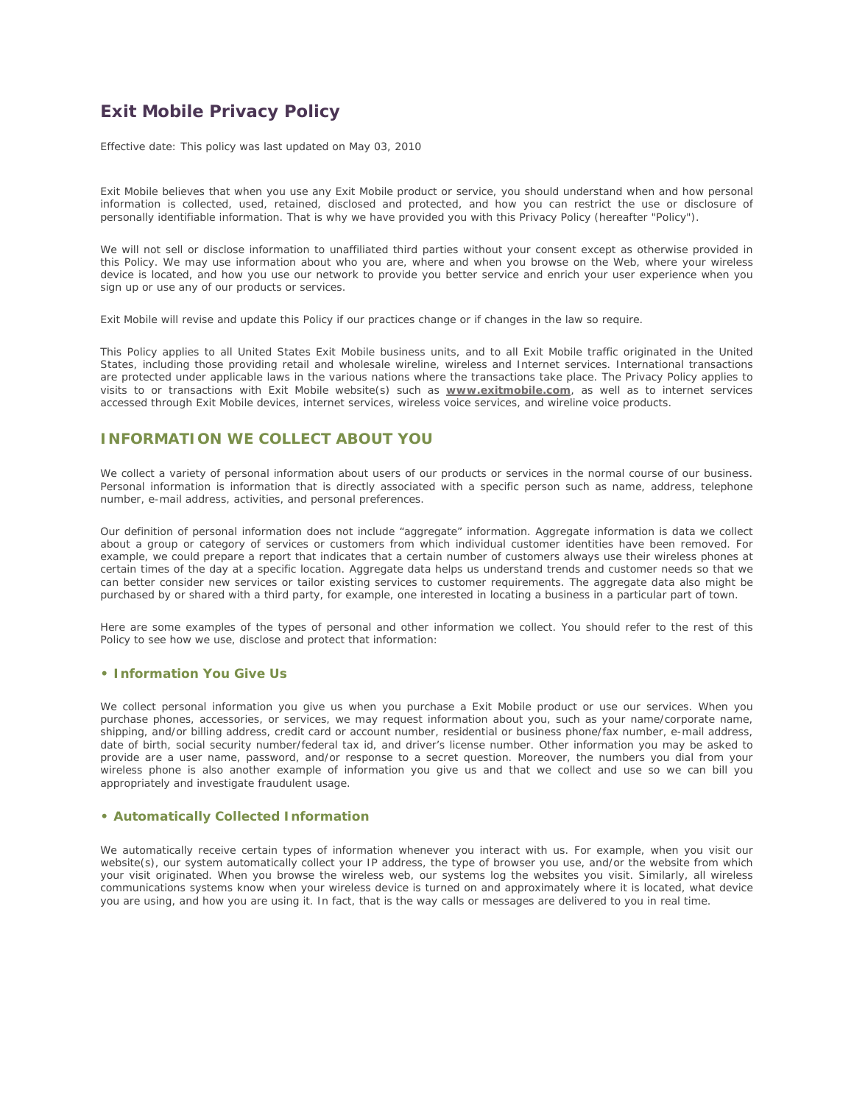# **Exit Mobile Privacy Policy**

*Effective date: This policy was last updated on May 03, 2010*

Exit Mobile believes that when you use any Exit Mobile product or service, you should understand when and how personal information is collected, used, retained, disclosed and protected, and how you can restrict the use or disclosure of personally identifiable information. That is why we have provided you with this Privacy Policy (hereafter "Policy").

We will not sell or disclose information to unaffiliated third parties without your consent except as otherwise provided in this Policy. We may use information about who you are, where and when you browse on the Web, where your wireless device is located, and how you use our network to provide you better service and enrich your user experience when you sign up or use any of our products or services.

Exit Mobile will revise and update this Policy if our practices change or if changes in the law so require.

This Policy applies to all United States Exit Mobile business units, and to all Exit Mobile traffic originated in the United States, including those providing retail and wholesale wireline, wireless and Internet services. International transactions are protected under applicable laws in the various nations where the transactions take place. The Privacy Policy applies to visits to or transactions with Exit Mobile website(s) such as **www.exitmobile.com**, as well as to internet services accessed through Exit Mobile devices, internet services, wireless voice services, and wireline voice products.

### **INFORMATION WE COLLECT ABOUT YOU**

We collect a variety of personal information about users of our products or services in the normal course of our business. Personal information is information that is directly associated with a specific person such as name, address, telephone number, e-mail address, activities, and personal preferences.

Our definition of personal information does not include "aggregate" information. Aggregate information is data we collect about a group or category of services or customers from which individual customer identities have been removed. For example, we could prepare a report that indicates that a certain number of customers always use their wireless phones at certain times of the day at a specific location. Aggregate data helps us understand trends and customer needs so that we can better consider new services or tailor existing services to customer requirements. The aggregate data also might be purchased by or shared with a third party, for example, one interested in locating a business in a particular part of town.

Here are some examples of the types of personal and other information we collect. You should refer to the rest of this Policy to see how we use, disclose and protect that information:

#### **• Information You Give Us**

We collect personal information you give us when you purchase a Exit Mobile product or use our services. When you purchase phones, accessories, or services, we may request information about you, such as your name/corporate name, shipping, and/or billing address, credit card or account number, residential or business phone/fax number, e-mail address, date of birth, social security number/federal tax id, and driver's license number. Other information you may be asked to provide are a user name, password, and/or response to a secret question. Moreover, the numbers you dial from your wireless phone is also another example of information you give us and that we collect and use so we can bill you appropriately and investigate fraudulent usage.

#### **• Automatically Collected Information**

We automatically receive certain types of information whenever you interact with us. For example, when you visit our website(s), our system automatically collect your IP address, the type of browser you use, and/or the website from which your visit originated. When you browse the wireless web, our systems log the websites you visit. Similarly, all wireless communications systems know when your wireless device is turned on and approximately where it is located, what device you are using, and how you are using it. In fact, that is the way calls or messages are delivered to you in real time.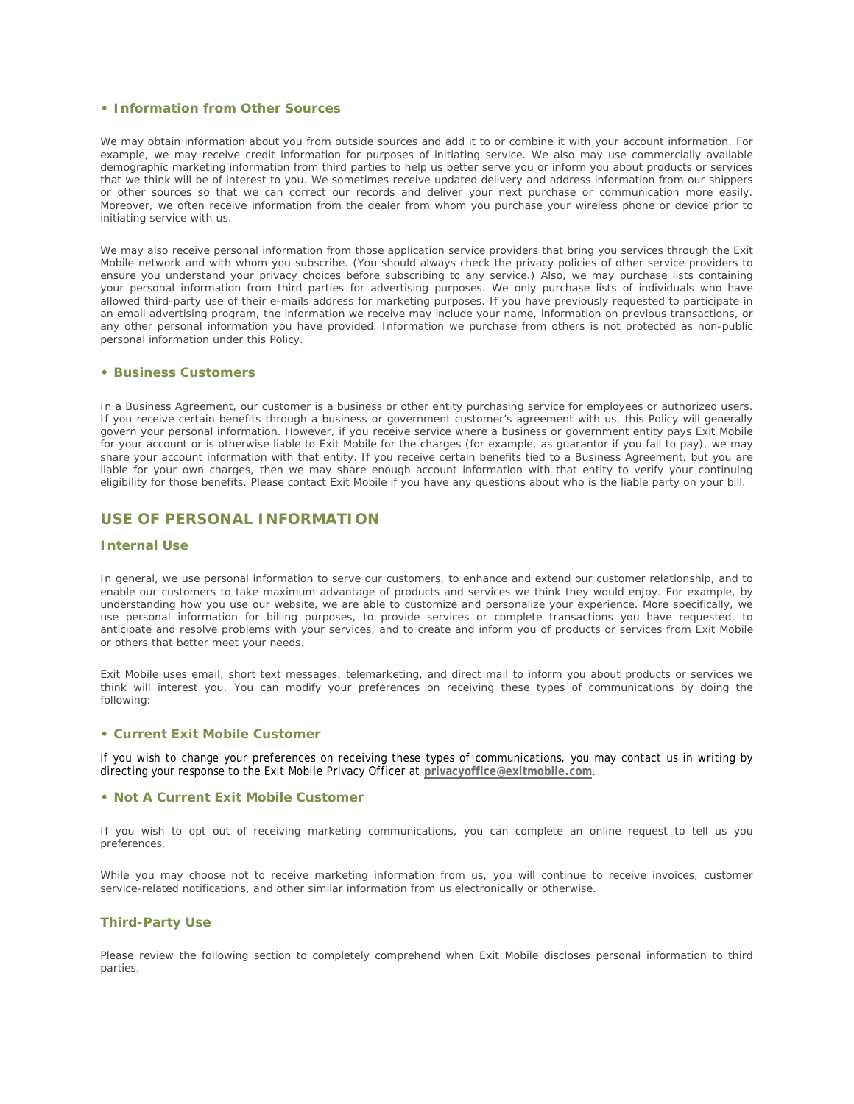#### **• Information from Other Sources**

We may obtain information about you from outside sources and add it to or combine it with your account information. For example, we may receive credit information for purposes of initiating service. We also may use commercially available demographic marketing information from third parties to help us better serve you or inform you about products or services that we think will be of interest to you. We sometimes receive updated delivery and address information from our shippers or other sources so that we can correct our records and deliver your next purchase or communication more easily. Moreover, we often receive information from the dealer from whom you purchase your wireless phone or device prior to initiating service with us.

We may also receive personal information from those application service providers that bring you services through the Exit Mobile network and with whom you subscribe. (You should always check the privacy policies of other service providers to ensure you understand your privacy choices before subscribing to any service.) Also, we may purchase lists containing your personal information from third parties for advertising purposes. We only purchase lists of individuals who have allowed third-party use of their e-mails address for marketing purposes. If you have previously requested to participate in an email advertising program, the information we receive may include your name, information on previous transactions, or any other personal information you have provided. Information we purchase from others is not protected as non-public personal information under this Policy.

#### **• Business Customers**

In a Business Agreement, our customer is a business or other entity purchasing service for employees or authorized users. If you receive certain benefits through a business or government customer's agreement with us, this Policy will generally govern your personal information. However, if you receive service where a business or government entity pays Exit Mobile for your account or is otherwise liable to Exit Mobile for the charges (for example, as guarantor if you fail to pay), we may share your account information with that entity. If you receive certain benefits tied to a Business Agreement, but you are liable for your own charges, then we may share enough account information with that entity to verify your continuing eligibility for those benefits. Please contact Exit Mobile if you have any questions about who is the liable party on your bill.

#### **USE OF PERSONAL INFORMATION**

#### **Internal Use**

In general, we use personal information to serve our customers, to enhance and extend our customer relationship, and to enable our customers to take maximum advantage of products and services we think they would enjoy. For example, by understanding how you use our website, we are able to customize and personalize your experience. More specifically, we use personal information for billing purposes, to provide services or complete transactions you have requested, to anticipate and resolve problems with your services, and to create and inform you of products or services from Exit Mobile or others that better meet your needs.

Exit Mobile uses email, short text messages, telemarketing, and direct mail to inform you about products or services we think will interest you. You can modify your preferences on receiving these types of communications by doing the following:

#### **• Current Exit Mobile Customer**

If you wish to change your preferences on receiving these types of communications, you may contact us in writing by directing your response to the Exit Mobile Privacy Officer at **privacyoffice@exitmobile.com**.

#### **• Not A Current Exit Mobile Customer**

If you wish to opt out of receiving marketing communications, you can complete an online request to tell us you preferences.

While you may choose not to receive marketing information from us, you will continue to receive invoices, customer service-related notifications, and other similar information from us electronically or otherwise.

#### **Third-Party Use**

Please review the following section to completely comprehend when Exit Mobile discloses personal information to third parties.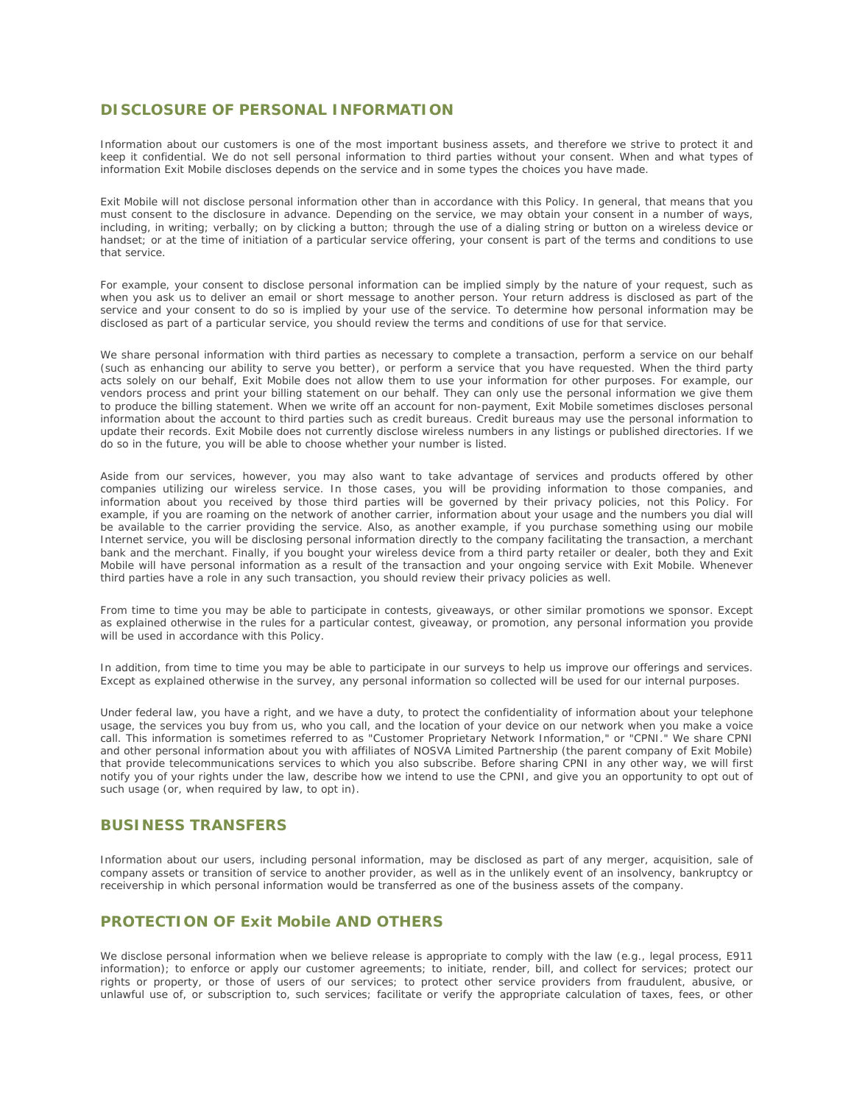## **DISCLOSURE OF PERSONAL INFORMATION**

Information about our customers is one of the most important business assets, and therefore we strive to protect it and keep it confidential. We do not sell personal information to third parties without your consent. When and what types of information Exit Mobile discloses depends on the service and in some types the choices you have made.

Exit Mobile will not disclose personal information other than in accordance with this Policy. In general, that means that you must consent to the disclosure in advance. Depending on the service, we may obtain your consent in a number of ways, including, in writing; verbally; on by clicking a button; through the use of a dialing string or button on a wireless device or handset; or at the time of initiation of a particular service offering, your consent is part of the terms and conditions to use that service.

For example, your consent to disclose personal information can be implied simply by the nature of your request, such as when you ask us to deliver an email or short message to another person. Your return address is disclosed as part of the service and your consent to do so is implied by your use of the service. To determine how personal information may be disclosed as part of a particular service, you should review the terms and conditions of use for that service.

We share personal information with third parties as necessary to complete a transaction, perform a service on our behalf (such as enhancing our ability to serve you better), or perform a service that you have requested. When the third party acts solely on our behalf, Exit Mobile does not allow them to use your information for other purposes. For example, our vendors process and print your billing statement on our behalf. They can only use the personal information we give them to produce the billing statement. When we write off an account for non-payment, Exit Mobile sometimes discloses personal information about the account to third parties such as credit bureaus. Credit bureaus may use the personal information to update their records. Exit Mobile does not currently disclose wireless numbers in any listings or published directories. If we do so in the future, you will be able to choose whether your number is listed.

Aside from our services, however, you may also want to take advantage of services and products offered by other companies utilizing our wireless service. In those cases, you will be providing information to those companies, and information about you received by those third parties will be governed by their privacy policies, not this Policy. For example, if you are roaming on the network of another carrier, information about your usage and the numbers you dial will be available to the carrier providing the service. Also, as another example, if you purchase something using our mobile Internet service, you will be disclosing personal information directly to the company facilitating the transaction, a merchant bank and the merchant. Finally, if you bought your wireless device from a third party retailer or dealer, both they and Exit Mobile will have personal information as a result of the transaction and your ongoing service with Exit Mobile. Whenever third parties have a role in any such transaction, you should review their privacy policies as well.

From time to time you may be able to participate in contests, giveaways, or other similar promotions we sponsor. Except as explained otherwise in the rules for a particular contest, giveaway, or promotion, any personal information you provide will be used in accordance with this Policy.

In addition, from time to time you may be able to participate in our surveys to help us improve our offerings and services. Except as explained otherwise in the survey, any personal information so collected will be used for our internal purposes.

Under federal law, you have a right, and we have a duty, to protect the confidentiality of information about your telephone usage, the services you buy from us, who you call, and the location of your device on our network when you make a voice call. This information is sometimes referred to as "Customer Proprietary Network Information," or "CPNI." We share CPNI and other personal information about you with affiliates of NOSVA Limited Partnership (the parent company of Exit Mobile) that provide telecommunications services to which you also subscribe. Before sharing CPNI in any other way, we will first notify you of your rights under the law, describe how we intend to use the CPNI, and give you an opportunity to opt out of such usage (or, when required by law, to opt in).

#### **BUSINESS TRANSFERS**

Information about our users, including personal information, may be disclosed as part of any merger, acquisition, sale of company assets or transition of service to another provider, as well as in the unlikely event of an insolvency, bankruptcy or receivership in which personal information would be transferred as one of the business assets of the company.

# **PROTECTION OF Exit Mobile AND OTHERS**

We disclose personal information when we believe release is appropriate to comply with the law (e.g., legal process, E911 information); to enforce or apply our customer agreements; to initiate, render, bill, and collect for services; protect our rights or property, or those of users of our services; to protect other service providers from fraudulent, abusive, or unlawful use of, or subscription to, such services; facilitate or verify the appropriate calculation of taxes, fees, or other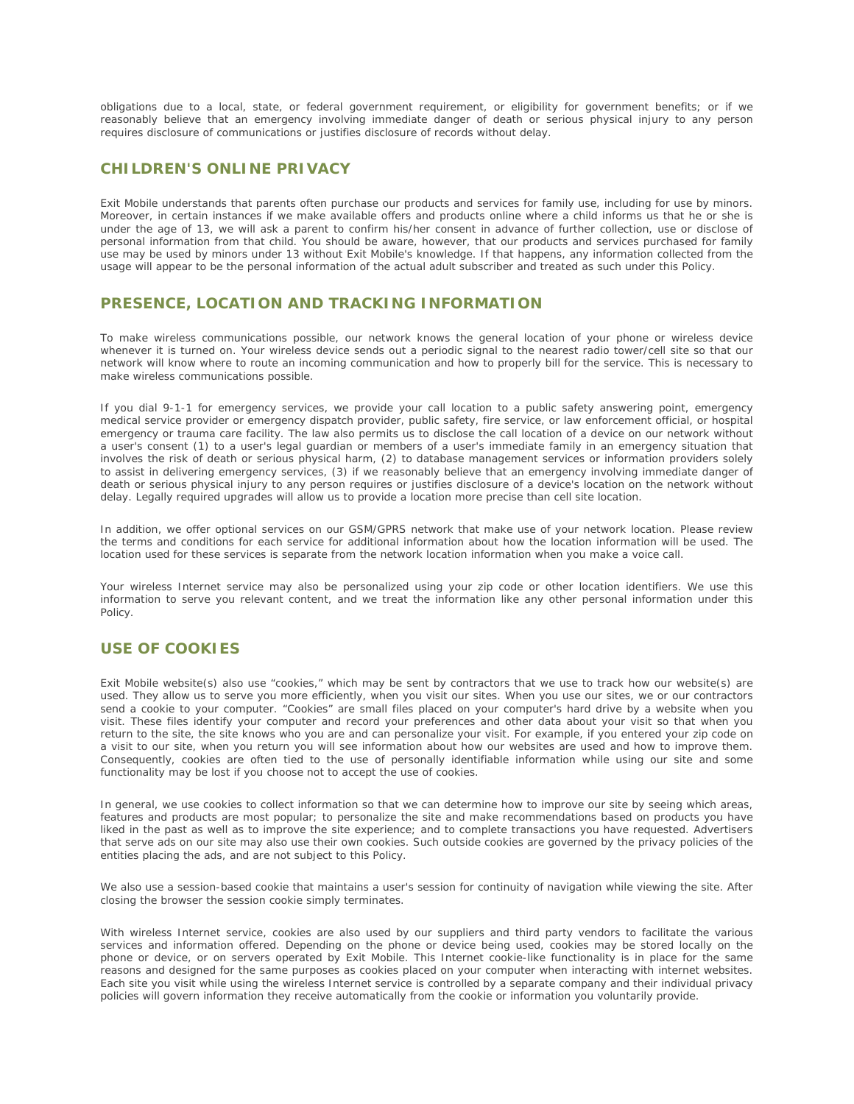obligations due to a local, state, or federal government requirement, or eligibility for government benefits; or if we reasonably believe that an emergency involving immediate danger of death or serious physical injury to any person requires disclosure of communications or justifies disclosure of records without delay.

### **CHILDREN'S ONLINE PRIVACY**

Exit Mobile understands that parents often purchase our products and services for family use, including for use by minors. Moreover, in certain instances if we make available offers and products online where a child informs us that he or she is under the age of 13, we will ask a parent to confirm his/her consent in advance of further collection, use or disclose of personal information from that child. You should be aware, however, that our products and services purchased for family use may be used by minors under 13 without Exit Mobile's knowledge. If that happens, any information collected from the usage will appear to be the personal information of the actual adult subscriber and treated as such under this Policy.

### **PRESENCE, LOCATION AND TRACKING INFORMATION**

To make wireless communications possible, our network knows the general location of your phone or wireless device whenever it is turned on. Your wireless device sends out a periodic signal to the nearest radio tower/cell site so that our network will know where to route an incoming communication and how to properly bill for the service. This is necessary to make wireless communications possible.

If you dial 9-1-1 for emergency services, we provide your call location to a public safety answering point, emergency medical service provider or emergency dispatch provider, public safety, fire service, or law enforcement official, or hospital emergency or trauma care facility. The law also permits us to disclose the call location of a device on our network without a user's consent (1) to a user's legal guardian or members of a user's immediate family in an emergency situation that involves the risk of death or serious physical harm, (2) to database management services or information providers solely to assist in delivering emergency services, (3) if we reasonably believe that an emergency involving immediate danger of death or serious physical injury to any person requires or justifies disclosure of a device's location on the network without delay. Legally required upgrades will allow us to provide a location more precise than cell site location.

In addition, we offer optional services on our GSM/GPRS network that make use of your network location. Please review the terms and conditions for each service for additional information about how the location information will be used. The location used for these services is separate from the network location information when you make a voice call.

Your wireless Internet service may also be personalized using your zip code or other location identifiers. We use this information to serve you relevant content, and we treat the information like any other personal information under this Policy.

### **USE OF COOKIES**

Exit Mobile website(s) also use "cookies," which may be sent by contractors that we use to track how our website(s) are used. They allow us to serve you more efficiently, when you visit our sites. When you use our sites, we or our contractors send a cookie to your computer. "Cookies" are small files placed on your computer's hard drive by a website when you visit. These files identify your computer and record your preferences and other data about your visit so that when you return to the site, the site knows who you are and can personalize your visit. For example, if you entered your zip code on a visit to our site, when you return you will see information about how our websites are used and how to improve them. Consequently, cookies are often tied to the use of personally identifiable information while using our site and some functionality may be lost if you choose not to accept the use of cookies.

In general, we use cookies to collect information so that we can determine how to improve our site by seeing which areas, features and products are most popular; to personalize the site and make recommendations based on products you have liked in the past as well as to improve the site experience; and to complete transactions you have requested. Advertisers that serve ads on our site may also use their own cookies. Such outside cookies are governed by the privacy policies of the entities placing the ads, and are not subject to this Policy.

We also use a session-based cookie that maintains a user's session for continuity of navigation while viewing the site. After closing the browser the session cookie simply terminates.

With wireless Internet service, cookies are also used by our suppliers and third party vendors to facilitate the various services and information offered. Depending on the phone or device being used, cookies may be stored locally on the phone or device, or on servers operated by Exit Mobile. This Internet cookie-like functionality is in place for the same reasons and designed for the same purposes as cookies placed on your computer when interacting with internet websites. Each site you visit while using the wireless Internet service is controlled by a separate company and their individual privacy policies will govern information they receive automatically from the cookie or information you voluntarily provide.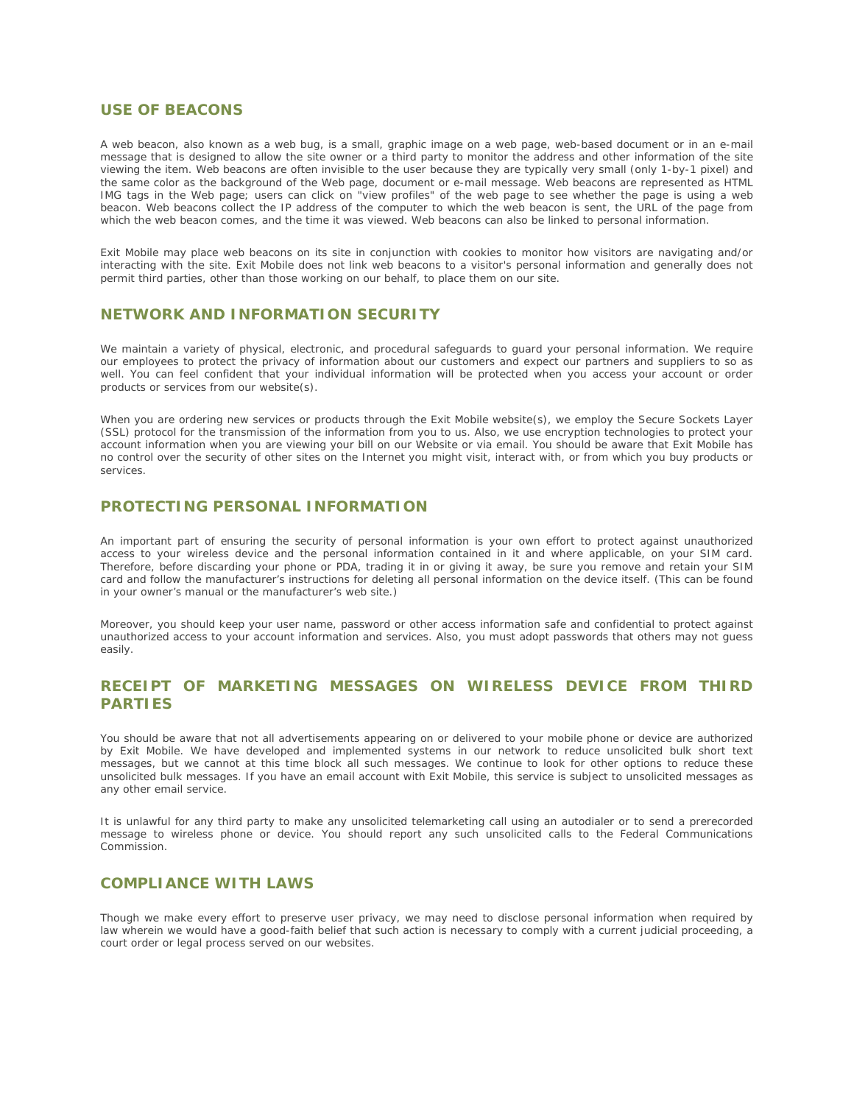#### **USE OF BEACONS**

A web beacon, also known as a web bug, is a small, graphic image on a web page, web-based document or in an e-mail message that is designed to allow the site owner or a third party to monitor the address and other information of the site viewing the item. Web beacons are often invisible to the user because they are typically very small (only 1-by-1 pixel) and the same color as the background of the Web page, document or e-mail message. Web beacons are represented as HTML IMG tags in the Web page; users can click on "view profiles" of the web page to see whether the page is using a web beacon. Web beacons collect the IP address of the computer to which the web beacon is sent, the URL of the page from which the web beacon comes, and the time it was viewed. Web beacons can also be linked to personal information.

Exit Mobile may place web beacons on its site in conjunction with cookies to monitor how visitors are navigating and/or interacting with the site. Exit Mobile does not link web beacons to a visitor's personal information and generally does not permit third parties, other than those working on our behalf, to place them on our site.

# **NETWORK AND INFORMATION SECURITY**

We maintain a variety of physical, electronic, and procedural safeguards to guard your personal information. We require our employees to protect the privacy of information about our customers and expect our partners and suppliers to so as well. You can feel confident that your individual information will be protected when you access your account or order products or services from our website(s).

When you are ordering new services or products through the Exit Mobile website(s), we employ the Secure Sockets Layer (SSL) protocol for the transmission of the information from you to us. Also, we use encryption technologies to protect your account information when you are viewing your bill on our Website or via email. You should be aware that Exit Mobile has no control over the security of other sites on the Internet you might visit, interact with, or from which you buy products or services.

### **PROTECTING PERSONAL INFORMATION**

An important part of ensuring the security of personal information is your own effort to protect against unauthorized access to your wireless device and the personal information contained in it and where applicable, on your SIM card. Therefore, before discarding your phone or PDA, trading it in or giving it away, be sure you remove and retain your SIM card and follow the manufacturer's instructions for deleting all personal information on the device itself. (This can be found in your owner's manual or the manufacturer's web site.)

Moreover, you should keep your user name, password or other access information safe and confidential to protect against unauthorized access to your account information and services. Also, you must adopt passwords that others may not guess easily.

# **RECEIPT OF MARKETING MESSAGES ON WIRELESS DEVICE FROM THIRD PARTIES**

You should be aware that not all advertisements appearing on or delivered to your mobile phone or device are authorized by Exit Mobile. We have developed and implemented systems in our network to reduce unsolicited bulk short text messages, but we cannot at this time block all such messages. We continue to look for other options to reduce these unsolicited bulk messages. If you have an email account with Exit Mobile, this service is subject to unsolicited messages as any other email service.

It is unlawful for any third party to make any unsolicited telemarketing call using an autodialer or to send a prerecorded message to wireless phone or device. You should report any such unsolicited calls to the Federal Communications Commission.

### **COMPLIANCE WITH LAWS**

Though we make every effort to preserve user privacy, we may need to disclose personal information when required by law wherein we would have a good-faith belief that such action is necessary to comply with a current judicial proceeding, a court order or legal process served on our websites.